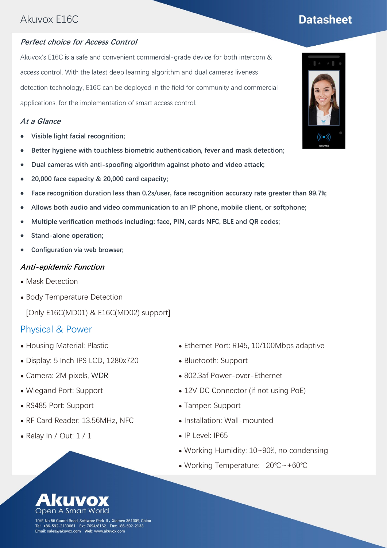## Akuvox E16C

#### **Perfect choice for Access Control**

Akuvox's E16C is a safe and convenient commercial-grade device for both intercom & access control. With the latest deep learning algorithm and dual cameras liveness detection technology, E16C can be deployed in the field for community and commercial applications, for the implementation of smart access control.

#### **At a Glance**

- ⚫ **Visible light facial recognition;**
- ⚫ **Better hygiene with touchless biometric authentication, fever and mask detection;**
- ⚫ **Dual cameras with anti-spoofing algorithm against photo and video attack;**
- ⚫ **20,000 face capacity & 20,000 card capacity;**
- ⚫ **Face recognition duration less than 0.2s/user, face recognition accuracy rate greater than 99.7%;**
- ⚫ **Allows both audio and video communication to an IP phone, mobile client, or softphone;**
- ⚫ **Multiple verification methods including: face, PIN, cards NFC, BLE and QR codes;**
- ⚫ **Stand-alone operation;**
- ⚫ **Configuration via web browser;**

#### **Anti-epidemic Function**

- Mask Detection
- ⚫ Body Temperature Detection

[Only E16C(MD01) & E16C(MD02) support]

#### Physical & Power

- ⚫ Housing Material: Plastic
- ⚫ Display: 5 Inch IPS LCD, 1280x720
- ⚫ Camera: 2M pixels, WDR
- ⚫ Wiegand Port: Support
- ⚫ RS485 Port: Support
- ⚫ RF Card Reader: 13.56MHz, NFC
- $\bullet$  Relay In / Out:  $1/1$
- ⚫ Ethernet Port: RJ45, 10/100Mbps adaptive
- ⚫ Bluetooth: Support
- ⚫ 802.3af Power-over-Ethernet
- 12V DC Connector (if not using PoE)
- ⚫ Tamper: Support
- ⚫ Installation: Wall-mounted
- ⚫ IP Level: IP65
- ⚫ Working Humidity: 10~90%, no condensing
- ⚫ Working Temperature: -20℃~+60℃





# **Datasheet**